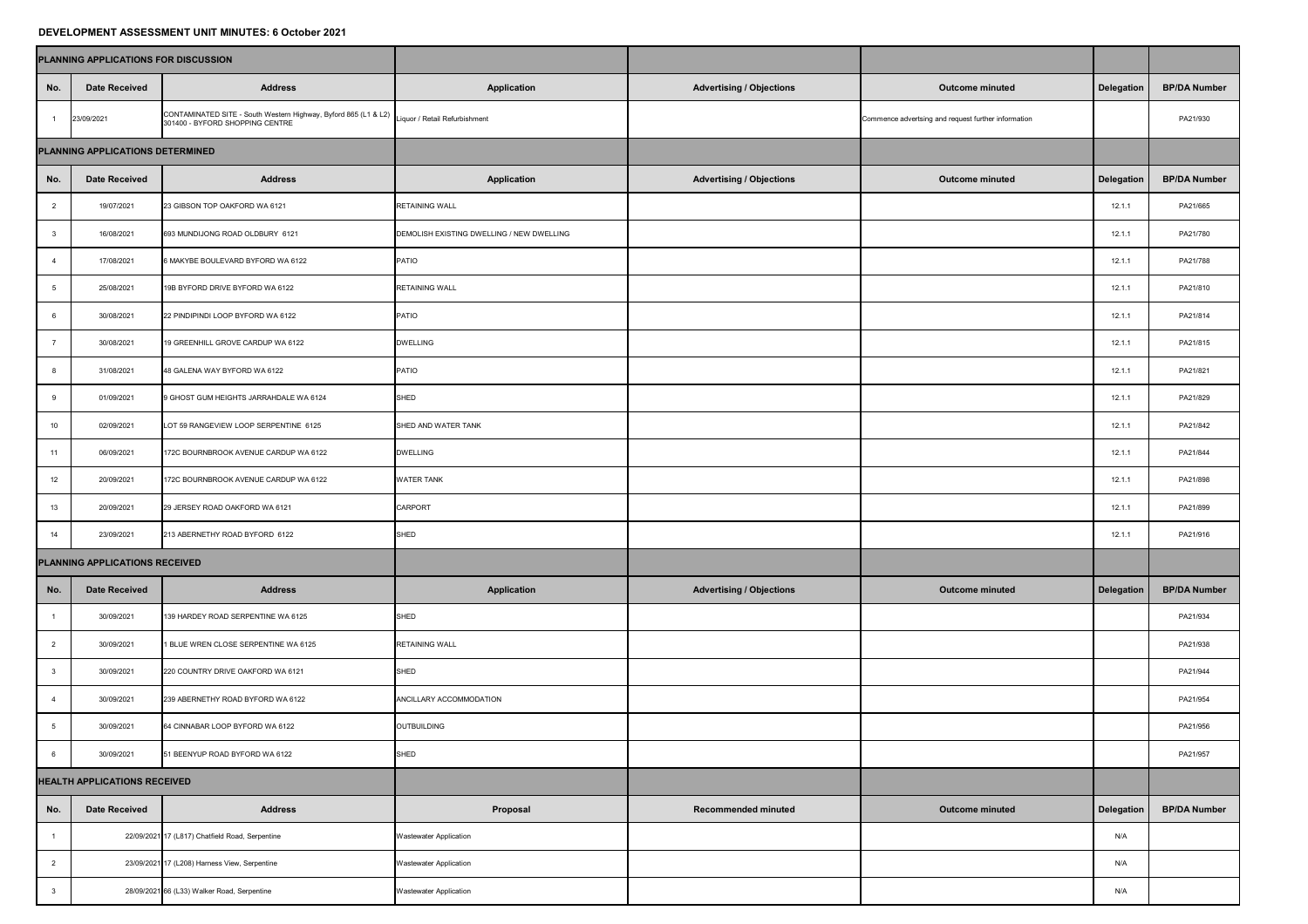## **DEVELOPMENT ASSESSMENT UNIT MINUTES: 6 October 2021**

|                                         | <b>PLANNING APPLICATIONS FOR DISCUSSION</b> |                                                                                                    |                                           |                                 |                                                     |                   |                     |
|-----------------------------------------|---------------------------------------------|----------------------------------------------------------------------------------------------------|-------------------------------------------|---------------------------------|-----------------------------------------------------|-------------------|---------------------|
| No.                                     | <b>Date Received</b>                        | <b>Address</b>                                                                                     | <b>Application</b>                        | <b>Advertising / Objections</b> | <b>Outcome minuted</b>                              | <b>Delegation</b> | <b>BP/DA Number</b> |
|                                         | 23/09/2021                                  | CONTAMINATED SITE - South Western Highway, Byford 865 (L1 & L2)<br>301400 - BYFORD SHOPPING CENTRE | Liquor / Retail Refurbishment             |                                 | Commence advertsing and request further information |                   | PA21/930            |
| <b>PLANNING APPLICATIONS DETERMINED</b> |                                             |                                                                                                    |                                           |                                 |                                                     |                   |                     |
| No.                                     | <b>Date Received</b>                        | <b>Address</b>                                                                                     | <b>Application</b>                        | <b>Advertising / Objections</b> | <b>Outcome minuted</b>                              | <b>Delegation</b> | <b>BP/DA Number</b> |
| $\overline{2}$                          | 19/07/2021                                  | 23 GIBSON TOP OAKFORD WA 6121                                                                      | <b>RETAINING WALL</b>                     |                                 |                                                     | 12.1.1            | PA21/665            |
| $\mathbf{3}$                            | 16/08/2021                                  | 693 MUNDIJONG ROAD OLDBURY 6121                                                                    | DEMOLISH EXISTING DWELLING / NEW DWELLING |                                 |                                                     | 12.1.1            | PA21/780            |
|                                         | 17/08/2021                                  | 6 MAKYBE BOULEVARD BYFORD WA 6122                                                                  | <b>PATIO</b>                              |                                 |                                                     | 12.1.1            | PA21/788            |
| $5\overline{)}$                         | 25/08/2021                                  | 19B BYFORD DRIVE BYFORD WA 6122                                                                    | <b>RETAINING WALL</b>                     |                                 |                                                     | 12.1.1            | PA21/810            |
| 6                                       | 30/08/2021                                  | 22 PINDIPINDI LOOP BYFORD WA 6122                                                                  | <b>PATIO</b>                              |                                 |                                                     | 12.1.1            | PA21/814            |
|                                         | 30/08/2021                                  | 19 GREENHILL GROVE CARDUP WA 6122                                                                  | <b>DWELLING</b>                           |                                 |                                                     | 12.1.1            | PA21/815            |
| 8                                       | 31/08/2021                                  | 48 GALENA WAY BYFORD WA 6122                                                                       | <b>PATIO</b>                              |                                 |                                                     | 12.1.1            | PA21/821            |
| 9                                       | 01/09/2021                                  | 9 GHOST GUM HEIGHTS JARRAHDALE WA 6124                                                             | SHED                                      |                                 |                                                     | 12.1.1            | PA21/829            |
| 10 <sup>1</sup>                         | 02/09/2021                                  | LOT 59 RANGEVIEW LOOP SERPENTINE 6125                                                              | SHED AND WATER TANK                       |                                 |                                                     | 12.1.1            | PA21/842            |
| 11                                      | 06/09/2021                                  | 172C BOURNBROOK AVENUE CARDUP WA 6122                                                              | <b>DWELLING</b>                           |                                 |                                                     | 12.1.1            | PA21/844            |
| 12                                      | 20/09/2021                                  | 172C BOURNBROOK AVENUE CARDUP WA 6122                                                              | <b>WATER TANK</b>                         |                                 |                                                     | 12.1.1            | PA21/898            |
| 13                                      | 20/09/2021                                  | 29 JERSEY ROAD OAKFORD WA 6121                                                                     | <b>CARPORT</b>                            |                                 |                                                     | 12.1.1            | PA21/899            |
| 14                                      | 23/09/2021                                  | 213 ABERNETHY ROAD BYFORD 6122                                                                     | SHED                                      |                                 |                                                     | 12.1.1            | PA21/916            |
| <b>PLANNING APPLICATIONS RECEIVED</b>   |                                             |                                                                                                    |                                           |                                 |                                                     |                   |                     |
| No.                                     | <b>Date Received</b>                        | <b>Address</b>                                                                                     | <b>Application</b>                        | <b>Advertising / Objections</b> | <b>Outcome minuted</b>                              | <b>Delegation</b> | <b>BP/DA Number</b> |
|                                         | 30/09/2021                                  | 139 HARDEY ROAD SERPENTINE WA 6125                                                                 | SHED                                      |                                 |                                                     |                   | PA21/934            |
|                                         | 30/09/2021                                  | 1 BLUE WREN CLOSE SERPENTINE WA 6125                                                               | <b>RETAINING WALL</b>                     |                                 |                                                     |                   | PA21/938            |
|                                         | 30/09/2021                                  | 220 COUNTRY DRIVE OAKFORD WA 6121                                                                  | SHED                                      |                                 |                                                     |                   | PA21/944            |
|                                         | 30/09/2021                                  | 239 ABERNETHY ROAD BYFORD WA 6122                                                                  | ANCILLARY ACCOMMODATION                   |                                 |                                                     |                   | PA21/954            |
|                                         | 30/09/2021                                  | 64 CINNABAR LOOP BYFORD WA 6122                                                                    | <b>OUTBUILDING</b>                        |                                 |                                                     |                   | PA21/956            |
|                                         | 30/09/2021                                  | 51 BEENYUP ROAD BYFORD WA 6122                                                                     | SHED                                      |                                 |                                                     |                   | PA21/957            |
| <b>HEALTH APPLICATIONS RECEIVED</b>     |                                             |                                                                                                    |                                           |                                 |                                                     |                   |                     |
| No.                                     | <b>Date Received</b>                        | <b>Address</b>                                                                                     | <b>Proposal</b>                           | <b>Recommended minuted</b>      | <b>Outcome minuted</b>                              | <b>Delegation</b> | <b>BP/DA Number</b> |
|                                         |                                             | 22/09/2021 17 (L817) Chatfield Road, Serpentine                                                    | <b>Wastewater Application</b>             |                                 |                                                     | N/A               |                     |
|                                         |                                             | 23/09/2021 17 (L208) Harness View, Serpentine                                                      | <b>Wastewater Application</b>             |                                 |                                                     | N/A               |                     |
|                                         |                                             | 28/09/2021 66 (L33) Walker Road, Serpentine                                                        | <b>Wastewater Application</b>             |                                 |                                                     | N/A               |                     |